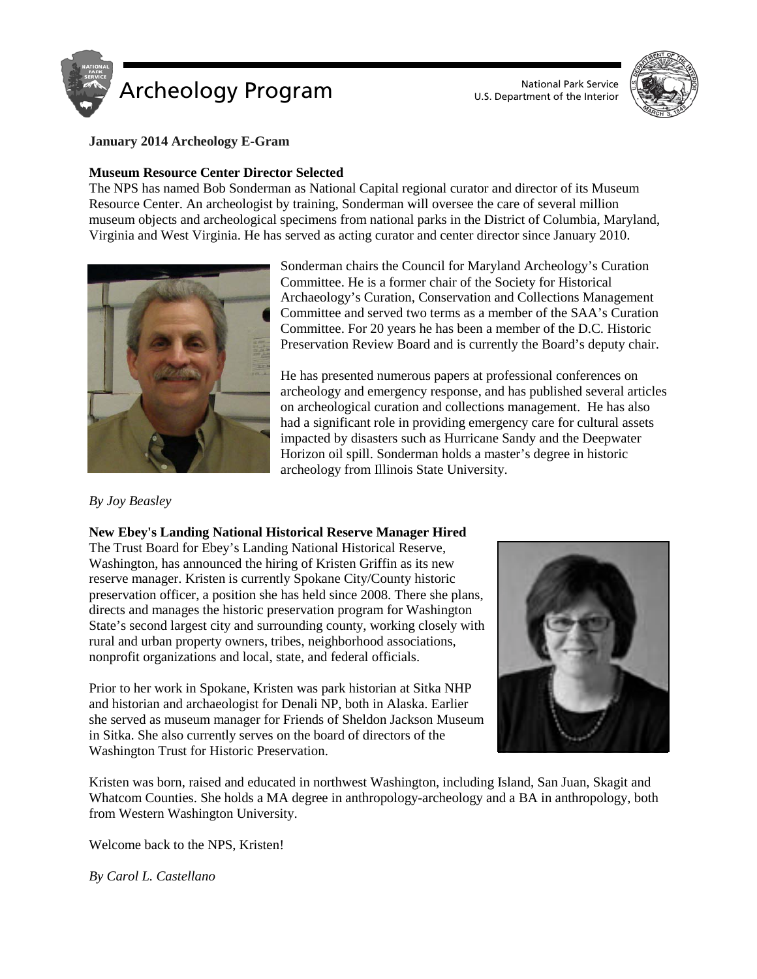

U.S. Department of the Interior



**January 2014 Archeology E-Gram**

# **Museum Resource Center Director Selected**

The NPS has named Bob Sonderman as National Capital regional curator and director of its Museum Resource Center. An archeologist by training, Sonderman will oversee the care of several million museum objects and archeological specimens from national parks in the District of Columbia, Maryland, Virginia and West Virginia. He has served as acting curator and center director since January 2010.



Sonderman chairs the Council for Maryland Archeology's Curation Committee. He is a former chair of the Society for Historical Archaeology's Curation, Conservation and Collections Management Committee and served two terms as a member of the SAA's Curation Committee. For 20 years he has been a member of the D.C. Historic Preservation Review Board and is currently the Board's deputy chair.

He has presented numerous papers at professional conferences on archeology and emergency response, and has published several articles on archeological curation and collections management. He has also had a significant role in providing emergency care for cultural assets impacted by disasters such as Hurricane Sandy and the Deepwater Horizon oil spill. Sonderman holds a master's degree in historic archeology from Illinois State University.

# *By Joy Beasley*

# **New Ebey's Landing National Historical Reserve Manager Hired**

The Trust Board for Ebey's Landing National Historical Reserve, Washington, has announced the hiring of Kristen Griffin as its new reserve manager. Kristen is currently Spokane City/County historic preservation officer, a position she has held since 2008. There she plans, directs and manages the historic preservation program for Washington State's second largest city and surrounding county, working closely with rural and urban property owners, tribes, neighborhood associations, nonprofit organizations and local, state, and federal officials.

Prior to her work in Spokane, Kristen was park historian at Sitka NHP and historian and archaeologist for Denali NP, both in Alaska. Earlier she served as museum manager for Friends of Sheldon Jackson Museum in Sitka. She also currently serves on the board of directors of the Washington Trust for Historic Preservation.



Kristen was born, raised and educated in northwest Washington, including Island, San Juan, Skagit and Whatcom Counties. She holds a MA degree in anthropology-archeology and a BA in anthropology, both from Western Washington University.

Welcome back to the NPS, Kristen!

*By Carol L. Castellano*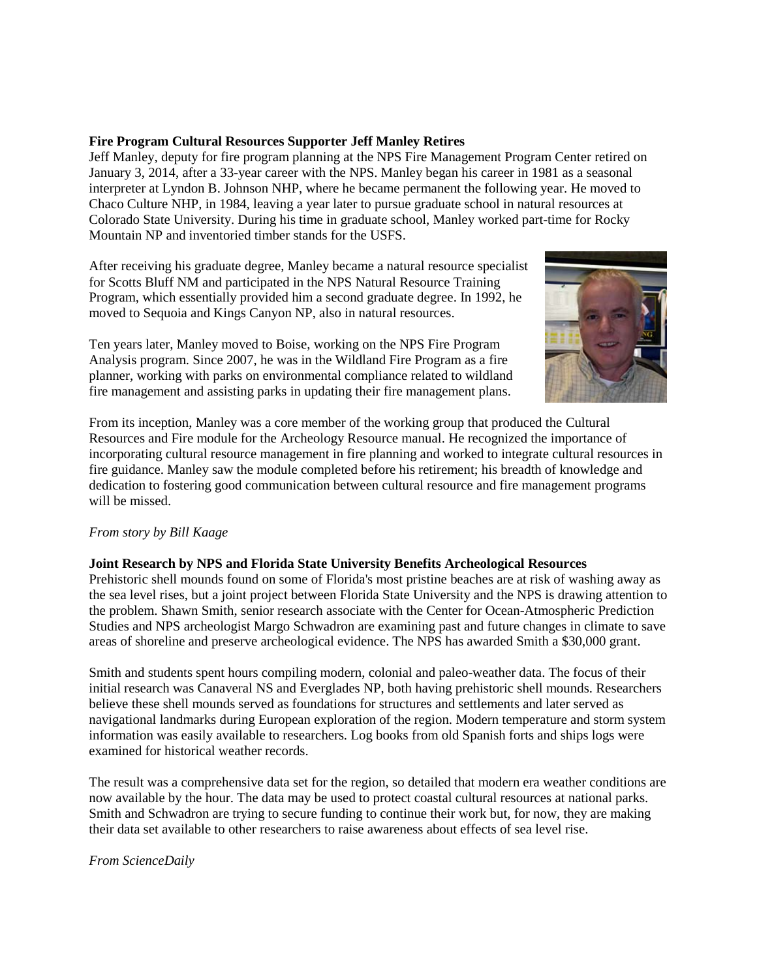## **Fire Program Cultural Resources Supporter Jeff Manley Retires**

Jeff Manley, deputy for fire program planning at the NPS Fire Management Program Center retired on January 3, 2014, after a 33-year career with the NPS. Manley began his career in 1981 as a seasonal interpreter at Lyndon B. Johnson NHP, where he became permanent the following year. He moved to Chaco Culture NHP, in 1984, leaving a year later to pursue graduate school in natural resources at Colorado State University. During his time in graduate school, Manley worked part-time for Rocky Mountain NP and inventoried timber stands for the USFS.

After receiving his graduate degree, Manley became a natural resource specialist for Scotts Bluff NM and participated in the NPS Natural Resource Training Program, which essentially provided him a second graduate degree. In 1992, he moved to Sequoia and Kings Canyon NP, also in natural resources.

Ten years later, Manley moved to Boise, working on the NPS Fire Program Analysis program. Since 2007, he was in the Wildland Fire Program as a fire planner, working with parks on environmental compliance related to wildland fire management and assisting parks in updating their fire management plans.



From its inception, Manley was a core member of the working group that produced the Cultural Resources and Fire module for the Archeology Resource manual. He recognized the importance of incorporating cultural resource management in fire planning and worked to integrate cultural resources in fire guidance. Manley saw the module completed before his retirement; his breadth of knowledge and dedication to fostering good communication between cultural resource and fire management programs will be missed.

# *From story by Bill Kaage*

# **Joint Research by NPS and Florida State University Benefits Archeological Resources**

Prehistoric shell mounds found on some of Florida's most pristine beaches are at risk of washing away as the sea level rises, but a joint project between Florida State University and the NPS is drawing attention to the problem. Shawn Smith, senior research associate with the Center for Ocean-Atmospheric Prediction Studies and NPS archeologist Margo Schwadron are examining past and future changes in climate to save areas of shoreline and preserve archeological evidence. The NPS has awarded Smith a \$30,000 grant.

Smith and students spent hours compiling modern, colonial and paleo-weather data. The focus of their initial research was Canaveral NS and Everglades NP, both having prehistoric shell mounds. Researchers believe these shell mounds served as foundations for structures and settlements and later served as navigational landmarks during European exploration of the region. Modern temperature and storm system information was easily available to researchers. Log books from old Spanish forts and ships logs were examined for historical weather records.

The result was a comprehensive data set for the region, so detailed that modern era weather conditions are now available by the hour. The data may be used to protect coastal cultural resources at national parks. Smith and Schwadron are trying to secure funding to continue their work but, for now, they are making their data set available to other researchers to raise awareness about effects of sea level rise.

*From ScienceDaily*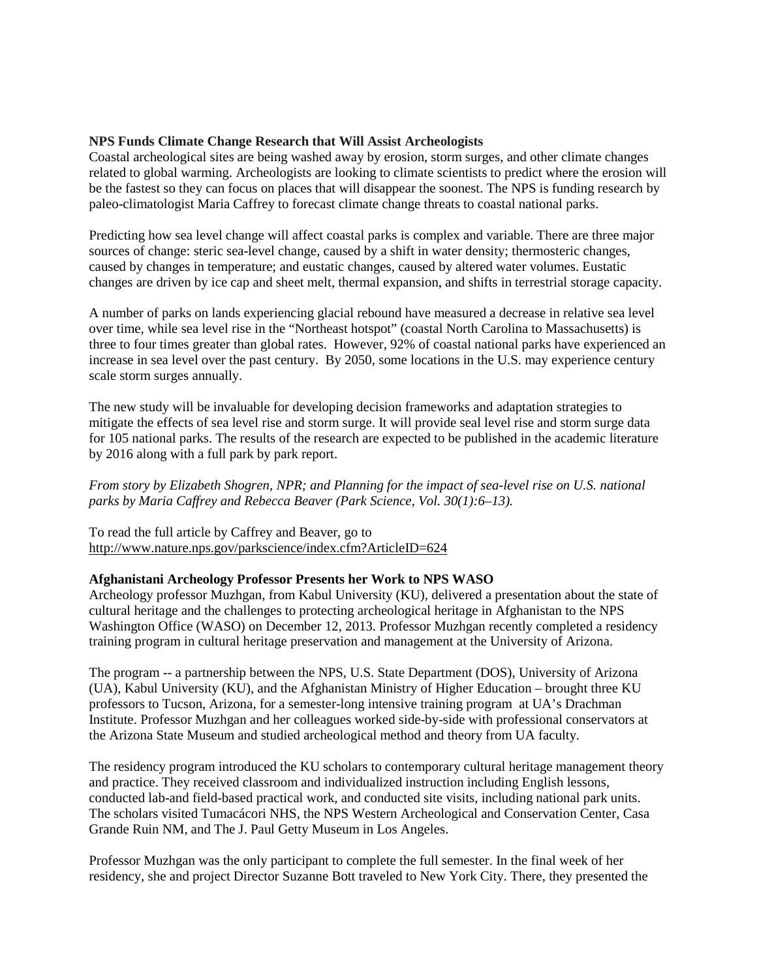## **NPS Funds Climate Change Research that Will Assist Archeologists**

Coastal archeological sites are being washed away by erosion, storm surges, and other climate changes related to global warming. Archeologists are looking to climate scientists to predict where the erosion will be the fastest so they can focus on places that will disappear the soonest. The NPS is funding research by paleo-climatologist Maria Caffrey to forecast climate change threats to coastal national parks.

Predicting how sea level change will affect coastal parks is complex and variable. There are three major sources of change: steric sea-level change, caused by a shift in water density; thermosteric changes, caused by changes in temperature; and eustatic changes, caused by altered water volumes. Eustatic changes are driven by ice cap and sheet melt, thermal expansion, and shifts in terrestrial storage capacity.

A number of parks on lands experiencing glacial rebound have measured a decrease in relative sea level over time, while sea level rise in the "Northeast hotspot" (coastal North Carolina to Massachusetts) is three to four times greater than global rates. However, 92% of coastal national parks have experienced an increase in sea level over the past century. By 2050, some locations in the U.S. may experience century scale storm surges annually.

The new study will be invaluable for developing decision frameworks and adaptation strategies to mitigate the effects of sea level rise and storm surge. It will provide seal level rise and storm surge data for 105 national parks. The results of the research are expected to be published in the academic literature by 2016 along with a full park by park report.

*From story by Elizabeth Shogren, NPR; and Planning for the impact of sea-level rise on U.S. national parks by Maria Caffrey and Rebecca Beaver (Park Science, Vol. 30(1):6–13).*

To read the full article by Caffrey and Beaver, go to <http://www.nature.nps.gov/parkscience/index.cfm?ArticleID=624>

## **Afghanistani Archeology Professor Presents her Work to NPS WASO**

Archeology professor Muzhgan, from Kabul University (KU), delivered a presentation about the state of cultural heritage and the challenges to protecting archeological heritage in Afghanistan to the NPS Washington Office (WASO) on December 12, 2013. Professor Muzhgan recently completed a residency training program in cultural heritage preservation and management at the University of Arizona.

The program -- a partnership between the NPS, U.S. State Department (DOS), University of Arizona (UA), Kabul University (KU), and the Afghanistan Ministry of Higher Education – brought three KU professors to Tucson, Arizona, for a semester-long intensive training program at UA's Drachman Institute. Professor Muzhgan and her colleagues worked side-by-side with professional conservators at the Arizona State Museum and studied archeological method and theory from UA faculty.

The residency program introduced the KU scholars to contemporary cultural heritage management theory and practice. They received classroom and individualized instruction including English lessons, conducted lab-and field-based practical work, and conducted site visits, including national park units. The scholars visited Tumacácori NHS, the NPS Western Archeological and Conservation Center, Casa Grande Ruin NM, and The J. Paul Getty Museum in Los Angeles.

Professor Muzhgan was the only participant to complete the full semester. In the final week of her residency, she and project Director Suzanne Bott traveled to New York City. There, they presented the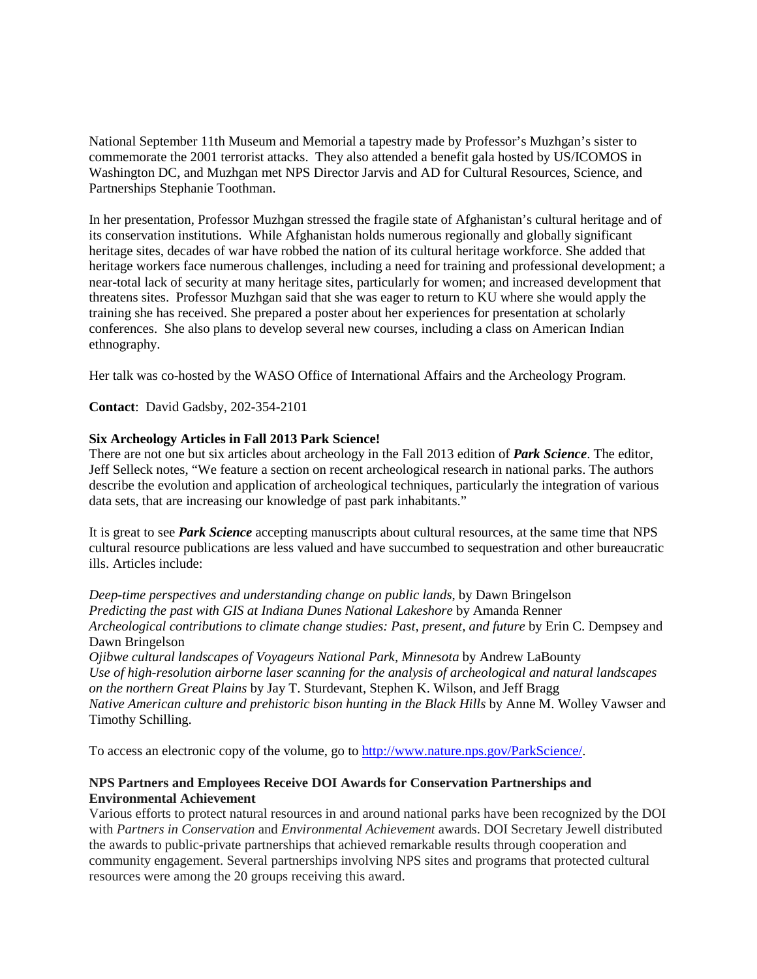National September 11th Museum and Memorial a tapestry made by Professor's Muzhgan's sister to commemorate the 2001 terrorist attacks. They also attended a benefit gala hosted by US/ICOMOS in Washington DC, and Muzhgan met NPS Director Jarvis and AD for Cultural Resources, Science, and Partnerships Stephanie Toothman.

In her presentation, Professor Muzhgan stressed the fragile state of Afghanistan's cultural heritage and of its conservation institutions. While Afghanistan holds numerous regionally and globally significant heritage sites, decades of war have robbed the nation of its cultural heritage workforce. She added that heritage workers face numerous challenges, including a need for training and professional development; a near-total lack of security at many heritage sites, particularly for women; and increased development that threatens sites. Professor Muzhgan said that she was eager to return to KU where she would apply the training she has received. She prepared a poster about her experiences for presentation at scholarly conferences. She also plans to develop several new courses, including a class on American Indian ethnography.

Her talk was co-hosted by the WASO Office of International Affairs and the Archeology Program.

**Contact**: David Gadsby, 202-354-2101

## **Six Archeology Articles in Fall 2013 Park Science!**

There are not one but six articles about archeology in the Fall 2013 edition of *Park Science*. The editor, Jeff Selleck notes, "We feature a section on recent archeological research in national parks. The authors describe the evolution and application of archeological techniques, particularly the integration of various data sets, that are increasing our knowledge of past park inhabitants."

It is great to see *Park Science* accepting manuscripts about cultural resources, at the same time that NPS cultural resource publications are less valued and have succumbed to sequestration and other bureaucratic ills. Articles include:

*Deep-time perspectives and understanding change on public lands*, by Dawn Bringelson *Predicting the past with GIS at Indiana Dunes National Lakeshore* by Amanda Renner *Archeological contributions to climate change studies: Past, present, and future* by Erin C. Dempsey and Dawn Bringelson

*Ojibwe cultural landscapes of Voyageurs National Park, Minnesota* by Andrew LaBounty *Use of high-resolution airborne laser scanning for the analysis of archeological and natural landscapes on the northern Great Plains* by Jay T. Sturdevant, Stephen K. Wilson, and Jeff Bragg *Native American culture and prehistoric bison hunting in the Black Hills* by Anne M. Wolley Vawser and Timothy Schilling.

To access an electronic copy of the volume, go to [http://www.nature.nps.gov/ParkScience/.](http://www.nature.nps.gov/ParkScience/)

# **NPS Partners and Employees Receive DOI Awards for Conservation Partnerships and Environmental Achievement**

Various efforts to protect natural resources in and around national parks have been recognized by the DOI with *Partners in Conservation* and *Environmental Achievement* awards. DOI Secretary Jewell distributed the awards to public-private partnerships that achieved remarkable results through cooperation and community engagement. Several partnerships involving NPS sites and programs that protected cultural resources were among the 20 groups receiving this award.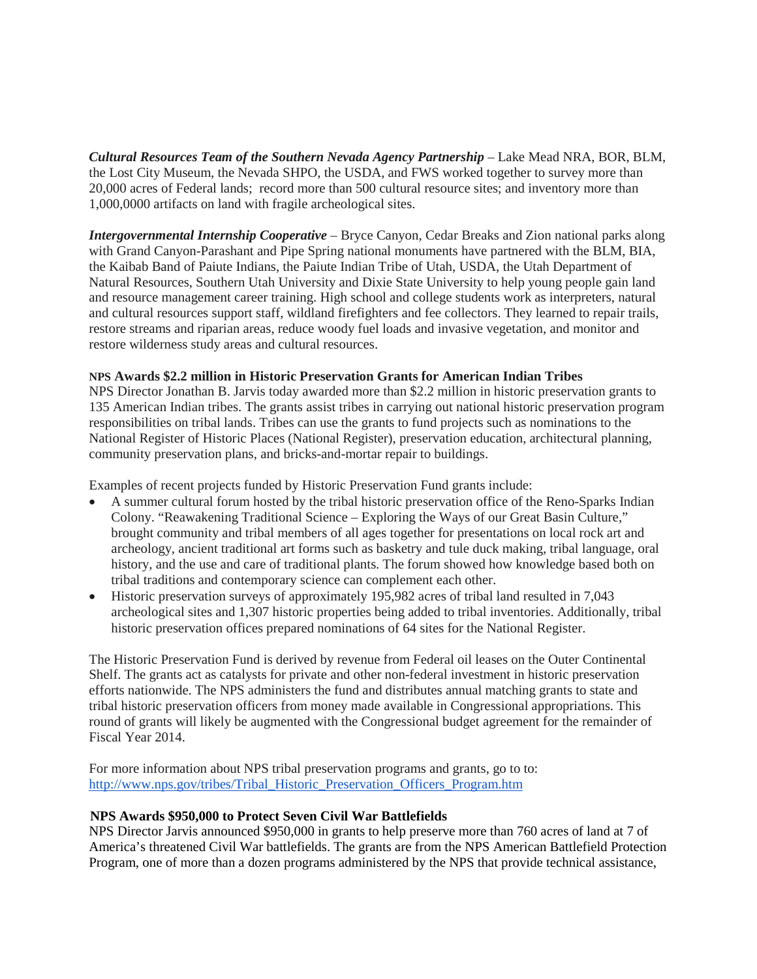*Cultural Resources Team of the Southern Nevada Agency Partnership* – Lake Mead NRA, BOR, BLM, the Lost City Museum, the Nevada SHPO, the USDA, and FWS worked together to survey more than 20,000 acres of Federal lands; record more than 500 cultural resource sites; and inventory more than 1,000,0000 artifacts on land with fragile archeological sites.

*Intergovernmental Internship Cooperative* – Bryce Canyon, Cedar Breaks and Zion national parks along with Grand Canyon-Parashant and Pipe Spring national monuments have partnered with the BLM, BIA, the Kaibab Band of Paiute Indians, the Paiute Indian Tribe of Utah, USDA, the Utah Department of Natural Resources, Southern Utah University and Dixie State University to help young people gain land and resource management career training. High school and college students work as interpreters, natural and cultural resources support staff, wildland firefighters and fee collectors. They learned to repair trails, restore streams and riparian areas, reduce woody fuel loads and invasive vegetation, and monitor and restore wilderness study areas and cultural resources.

# **NPS Awards \$2.2 million in Historic Preservation Grants for American Indian Tribes**

NPS Director Jonathan B. Jarvis today awarded more than \$2.2 million in historic preservation grants to 135 American Indian tribes. The grants assist tribes in carrying out national historic preservation program responsibilities on tribal lands. Tribes can use the grants to fund projects such as nominations to the National Register of Historic Places (National Register), preservation education, architectural planning, community preservation plans, and bricks-and-mortar repair to buildings.

Examples of recent projects funded by Historic Preservation Fund grants include:

- A summer cultural forum hosted by the tribal historic preservation office of the Reno-Sparks Indian Colony. "Reawakening Traditional Science – Exploring the Ways of our Great Basin Culture," brought community and tribal members of all ages together for presentations on local rock art and archeology, ancient traditional art forms such as basketry and tule duck making, tribal language, oral history, and the use and care of traditional plants. The forum showed how knowledge based both on tribal traditions and contemporary science can complement each other.
- Historic preservation surveys of approximately 195,982 acres of tribal land resulted in 7,043 archeological sites and 1,307 historic properties being added to tribal inventories. Additionally, tribal historic preservation offices prepared nominations of 64 sites for the National Register.

The Historic Preservation Fund is derived by revenue from Federal oil leases on the Outer Continental Shelf. The grants act as catalysts for private and other non-federal investment in historic preservation efforts nationwide. The NPS administers the fund and distributes annual matching grants to state and tribal historic preservation officers from money made available in Congressional appropriations. This round of grants will likely be augmented with the Congressional budget agreement for the remainder of Fiscal Year 2014.

For more information about NPS tribal preservation programs and grants, go to to: [http://www.nps.gov/tribes/Tribal\\_Historic\\_Preservation\\_Officers\\_Program.htm](http://www.nps.gov/tribes/Tribal_Historic_Preservation_Officers_Program.htm)

## **NPS Awards \$950,000 to Protect Seven Civil War Battlefields**

NPS Director Jarvis announced \$950,000 in grants to help preserve more than 760 acres of land at 7 of America's threatened Civil War battlefields. The grants are from the NPS American Battlefield Protection Program, one of more than a dozen programs administered by the NPS that provide technical assistance,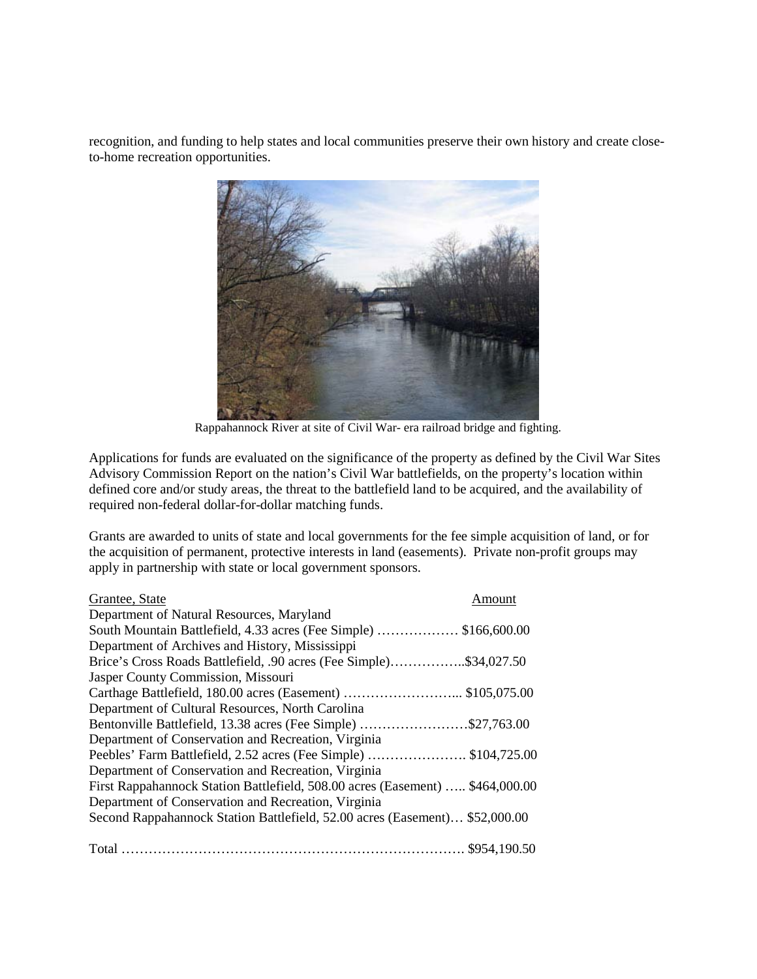recognition, and funding to help states and local communities preserve their own history and create closeto-home recreation opportunities.



Rappahannock River at site of Civil War- era railroad bridge and fighting.

Applications for funds are evaluated on the significance of the property as defined by the Civil War Sites Advisory Commission Report on the nation's Civil War battlefields, on the property's location within defined core and/or study areas, the threat to the battlefield land to be acquired, and the availability of required non-federal dollar-for-dollar matching funds.

Grants are awarded to units of state and local governments for the fee simple acquisition of land, or for the acquisition of permanent, protective interests in land (easements). Private non-profit groups may apply in partnership with state or local government sponsors.

| Grantee, State                                                                | Amount |
|-------------------------------------------------------------------------------|--------|
| Department of Natural Resources, Maryland                                     |        |
| South Mountain Battlefield, 4.33 acres (Fee Simple)  \$166,600.00             |        |
| Department of Archives and History, Mississippi                               |        |
| Brice's Cross Roads Battlefield, .90 acres (Fee Simple)\$34,027.50            |        |
| Jasper County Commission, Missouri                                            |        |
|                                                                               |        |
| Department of Cultural Resources, North Carolina                              |        |
| Bentonville Battlefield, 13.38 acres (Fee Simple) \$27,763.00                 |        |
| Department of Conservation and Recreation, Virginia                           |        |
| Peebles' Farm Battlefield, 2.52 acres (Fee Simple) \$104,725.00               |        |
| Department of Conservation and Recreation, Virginia                           |        |
| First Rappahannock Station Battlefield, 508.00 acres (Easement)  \$464,000.00 |        |
| Department of Conservation and Recreation, Virginia                           |        |
| Second Rappahannock Station Battlefield, 52.00 acres (Easement) \$52,000.00   |        |
|                                                                               |        |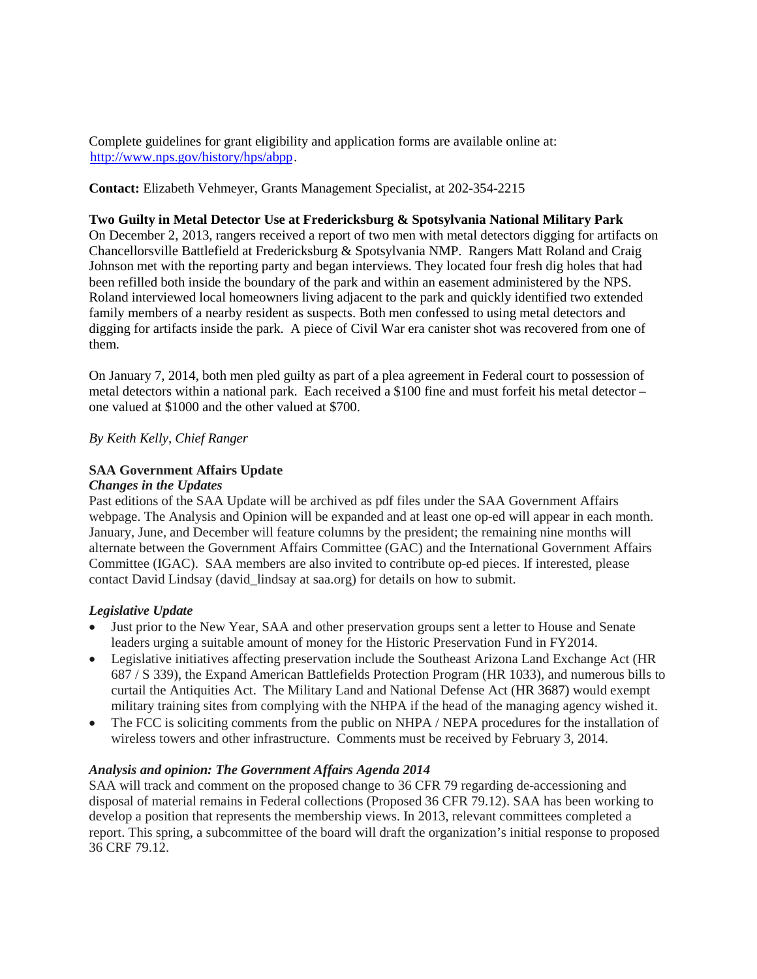Complete guidelines for grant eligibility and application forms are available online at: [http://www.nps.gov/history/hps/abpp.](http://www.nps.gov/history/hps/abpp)

**Contact:** Elizabeth Vehmeyer, Grants Management Specialist, at 202-354-2215

## **Two Guilty in Metal Detector Use at Fredericksburg & Spotsylvania National Military Park**

On December 2, 2013, rangers received a report of two men with metal detectors digging for artifacts on Chancellorsville Battlefield at Fredericksburg & Spotsylvania NMP. Rangers Matt Roland and Craig Johnson met with the reporting party and began interviews. They located four fresh dig holes that had been refilled both inside the boundary of the park and within an easement administered by the NPS. Roland interviewed local homeowners living adjacent to the park and quickly identified two extended family members of a nearby resident as suspects. Both men confessed to using metal detectors and digging for artifacts inside the park. A piece of Civil War era canister shot was recovered from one of them.

On January 7, 2014, both men pled guilty as part of a plea agreement in Federal court to possession of metal detectors within a national park. Each received a \$100 fine and must forfeit his metal detector – one valued at \$1000 and the other valued at \$700.

# *By Keith Kelly, Chief Ranger*

# **SAA Government Affairs Update**

## *Changes in the Updates*

Past editions of the SAA Update will be archived as pdf files under the SAA Government Affairs webpage. The Analysis and Opinion will be expanded and at least one op-ed will appear in each month. January, June, and December will feature columns by the president; the remaining nine months will alternate between the Government Affairs Committee (GAC) and the International Government Affairs Committee (IGAC). SAA members are also invited to contribute op-ed pieces. If interested, please contact David Lindsay (david\_lindsay at saa.org) for details on how to submit.

# *Legislative Update*

- Just prior to the New Year, SAA and other preservation groups sent a letter to House and Senate leaders urging a suitable amount of money for the Historic Preservation Fund in FY2014.
- Legislative initiatives affecting preservation include the Southeast Arizona Land Exchange Act (HR 687 / S 339), the Expand American Battlefields Protection Program (HR 1033), and numerous bills to curtail the Antiquities Act. The Military Land and National Defense Act (HR 3687) would exempt military training sites from complying with the NHPA if the head of the managing agency wished it.
- The FCC is soliciting comments from the public on NHPA / NEPA procedures for the installation of wireless towers and other infrastructure. Comments must be received by February 3, 2014.

# *Analysis and opinion: The Government Affairs Agenda 2014*

SAA will track and comment on the proposed change to 36 CFR 79 regarding de-accessioning and disposal of material remains in Federal collections (Proposed 36 CFR 79.12). SAA has been working to develop a position that represents the membership views. In 2013, relevant committees completed a report. This spring, a subcommittee of the board will draft the organization's initial response to proposed 36 CRF 79.12.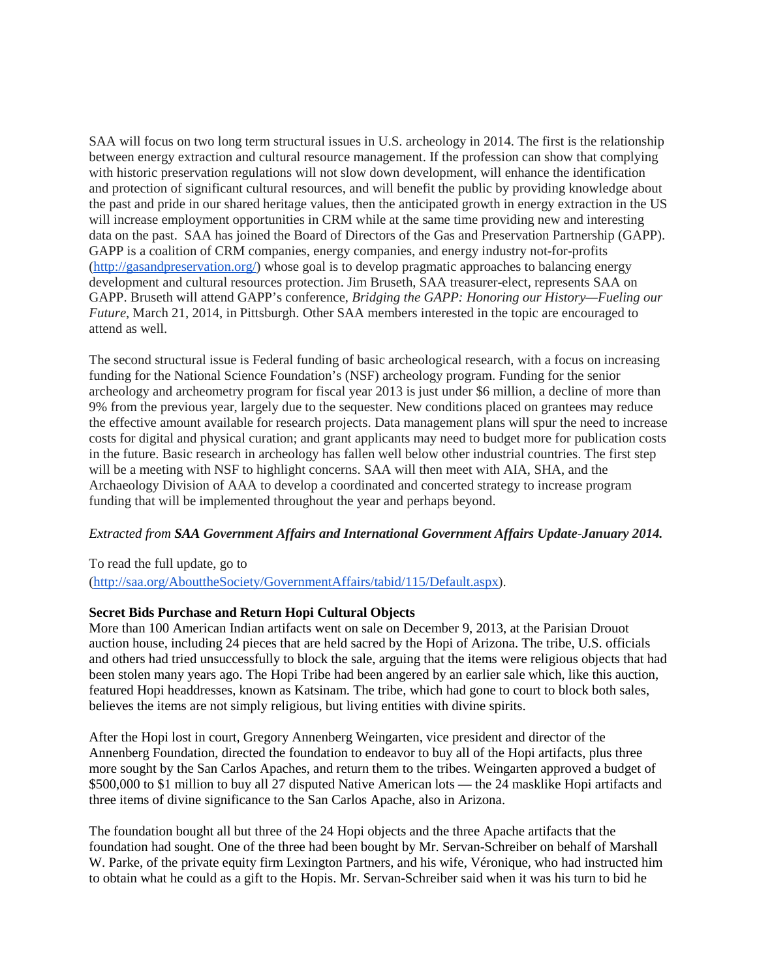SAA will focus on two long term structural issues in U.S. archeology in 2014. The first is the relationship between energy extraction and cultural resource management. If the profession can show that complying with historic preservation regulations will not slow down development, will enhance the identification and protection of significant cultural resources, and will benefit the public by providing knowledge about the past and pride in our shared heritage values, then the anticipated growth in energy extraction in the US will increase employment opportunities in CRM while at the same time providing new and interesting data on the past. SAA has joined the Board of Directors of the Gas and Preservation Partnership (GAPP). GAPP is a coalition of CRM companies, energy companies, and energy industry not-for-profits [\(http://gasandpreservation.org/\)](http://gasandpreservation.org/) whose goal is to develop pragmatic approaches to balancing energy development and cultural resources protection. Jim Bruseth, SAA treasurer-elect, represents SAA on GAPP. Bruseth will attend GAPP's conference, *Bridging the GAPP: Honoring our History—Fueling our Future*, March 21, 2014, in Pittsburgh. Other SAA members interested in the topic are encouraged to attend as well.

The second structural issue is Federal funding of basic archeological research, with a focus on increasing funding for the National Science Foundation's (NSF) archeology program. Funding for the senior archeology and archeometry program for fiscal year 2013 is just under \$6 million, a decline of more than 9% from the previous year, largely due to the sequester. New conditions placed on grantees may reduce the effective amount available for research projects. Data management plans will spur the need to increase costs for digital and physical curation; and grant applicants may need to budget more for publication costs in the future. Basic research in archeology has fallen well below other industrial countries. The first step will be a meeting with NSF to highlight concerns. SAA will then meet with AIA, SHA, and the Archaeology Division of AAA to develop a coordinated and concerted strategy to increase program funding that will be implemented throughout the year and perhaps beyond.

# *Extracted from SAA Government Affairs and International Government Affairs Update-January 2014.*

To read the full update, go to

[\(http://saa.org/AbouttheSociety/GovernmentAffairs/tabid/115/Default.aspx\)](http://saa.org/AbouttheSociety/GovernmentAffairs/tabid/115/Default.aspx).

# **Secret Bids Purchase and Return Hopi Cultural Objects**

More than 100 American Indian artifacts went on sale on December 9, 2013, at the Parisian Drouot auction house, including 24 pieces that are held sacred by the Hopi of Arizona. The tribe, U.S. officials and others had tried unsuccessfully to block the sale, arguing that the items were religious objects that had been stolen many years ago. The Hopi Tribe had been angered by an earlier sale which, like this auction, featured Hopi headdresses, known as Katsinam. The tribe, which had gone to court to block both sales, believes the items are not simply religious, but living entities with divine spirits.

After the Hopi lost in court, Gregory Annenberg Weingarten, vice president and director of the Annenberg Foundation, directed the foundation to endeavor to buy all of the Hopi artifacts, plus three more sought by the San Carlos Apaches, and return them to the tribes. Weingarten approved a budget of \$500,000 to \$1 million to buy all 27 disputed Native American lots — the 24 masklike Hopi artifacts and three items of divine significance to the San Carlos Apache, also in Arizona.

The foundation bought all but three of the 24 Hopi objects and the three Apache artifacts that the foundation had sought. One of the three had been bought by Mr. Servan-Schreiber on behalf of Marshall W. Parke, of the private equity firm Lexington Partners, and his wife, Véronique, who had instructed him to obtain what he could as a gift to the Hopis. Mr. Servan-Schreiber said when it was his turn to bid he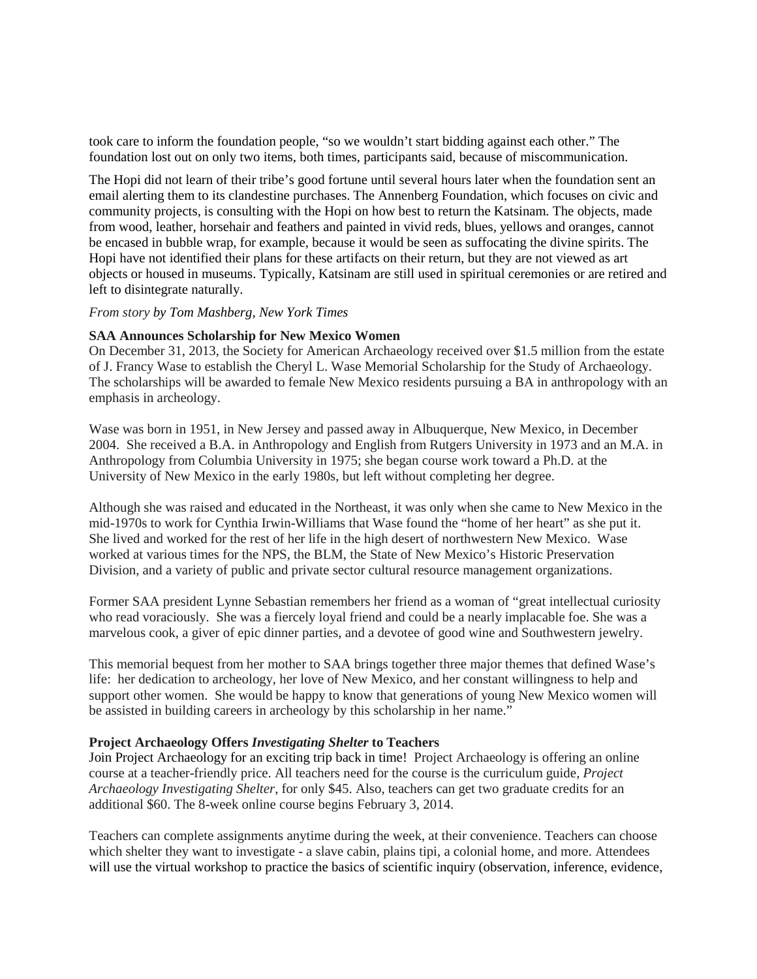took care to inform the foundation people, "so we wouldn't start bidding against each other." The foundation lost out on only two items, both times, participants said, because of miscommunication.

The Hopi did not learn of their tribe's good fortune until several hours later when the foundation sent an email alerting them to its clandestine purchases. The Annenberg Foundation, which focuses on civic and community projects, is consulting with the Hopi on how best to return the Katsinam. The objects, made from wood, leather, horsehair and feathers and painted in vivid reds, blues, yellows and oranges, cannot be encased in bubble wrap, for example, because it would be seen as suffocating the divine spirits. The Hopi have not identified their plans for these artifacts on their return, but they are not viewed as art objects or housed in museums. Typically, Katsinam are still used in spiritual ceremonies or are retired and left to disintegrate naturally.

#### *From story by Tom Mashberg, New York Times*

#### **SAA Announces Scholarship for New Mexico Women**

On December 31, 2013, the Society for American Archaeology received over \$1.5 million from the estate of J. Francy Wase to establish the Cheryl L. Wase Memorial Scholarship for the Study of Archaeology. The scholarships will be awarded to female New Mexico residents pursuing a BA in anthropology with an emphasis in archeology.

Wase was born in 1951, in New Jersey and passed away in Albuquerque, New Mexico, in December 2004. She received a B.A. in Anthropology and English from Rutgers University in 1973 and an M.A. in Anthropology from Columbia University in 1975; she began course work toward a Ph.D. at the University of New Mexico in the early 1980s, but left without completing her degree.

Although she was raised and educated in the Northeast, it was only when she came to New Mexico in the mid-1970s to work for Cynthia Irwin-Williams that Wase found the "home of her heart" as she put it. She lived and worked for the rest of her life in the high desert of northwestern New Mexico. Wase worked at various times for the NPS, the BLM, the State of New Mexico's Historic Preservation Division, and a variety of public and private sector cultural resource management organizations.

Former SAA president Lynne Sebastian remembers her friend as a woman of "great intellectual curiosity who read voraciously. She was a fiercely loyal friend and could be a nearly implacable foe. She was a marvelous cook, a giver of epic dinner parties, and a devotee of good wine and Southwestern jewelry.

This memorial bequest from her mother to SAA brings together three major themes that defined Wase's life: her dedication to archeology, her love of New Mexico, and her constant willingness to help and support other women. She would be happy to know that generations of young New Mexico women will be assisted in building careers in archeology by this scholarship in her name."

## **Project Archaeology Offers** *Investigating Shelter* **to Teachers**

Join Project Archaeology for an exciting trip back in time! Project Archaeology is offering an online course at a teacher-friendly price. All teachers need for the course is the curriculum guide, *Project Archaeology Investigating Shelter*, for only \$45. Also, teachers can get two graduate credits for an additional \$60. The 8-week online course begins February 3, 2014.

Teachers can complete assignments anytime during the week, at their convenience. Teachers can choose which shelter they want to investigate - a slave cabin, plains tipi, a colonial home, and more. Attendees will use the virtual workshop to practice the basics of scientific inquiry (observation, inference, evidence,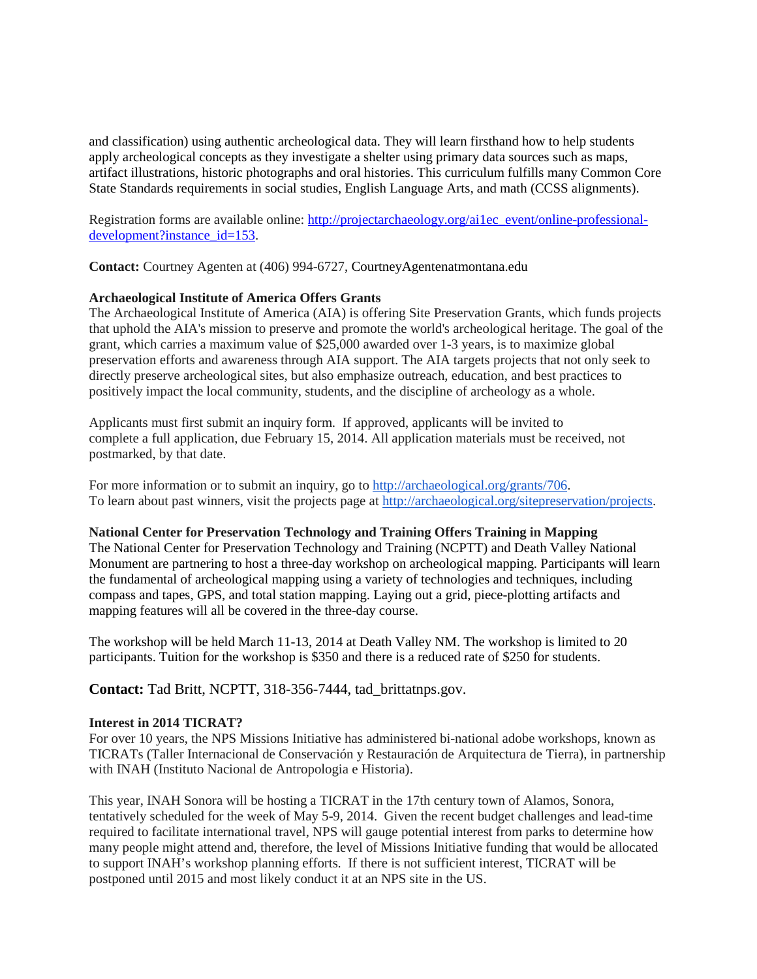and classification) using authentic archeological data. They will learn firsthand how to help students apply archeological concepts as they investigate a shelter using primary data sources such as maps, artifact illustrations, historic photographs and oral histories. This curriculum fulfills many Common Core State Standards requirements in social studies, English Language Arts, and math (CCSS alignments).

Registration forms are available online: [http://projectarchaeology.org/ai1ec\\_event/online-professional](http://projectarchaeology.org/ai1ec_event/online-professional-development?instance_id=153)[development?instance\\_id=153.](http://projectarchaeology.org/ai1ec_event/online-professional-development?instance_id=153)

**Contact:** Courtney Agenten at (406) 994-6727, CourtneyAgentenatmontana.edu

# **Archaeological Institute of America Offers Grants**

The Archaeological Institute of America (AIA) is offering Site Preservation Grants, which funds projects that uphold the AIA's mission to preserve and promote the world's archeological heritage. The goal of the grant, which carries a maximum value of \$25,000 awarded over 1-3 years, is to maximize global preservation efforts and awareness through AIA support. The AIA targets projects that not only seek to directly preserve archeological sites, but also emphasize outreach, education, and best practices to positively impact the local community, students, and the discipline of archeology as a whole.

Applicants must first submit an inquiry form. If approved, applicants will be invited to complete a full application, due February 15, 2014. All application materials must be received, not postmarked, by that date.

For more information or to submit an inquiry, go to [http://archaeological.org/grants/706.](http://archaeological.org/grants/706) To learn about past winners, visit the projects page at [http://archaeological.org/sitepreservation/projects.](http://archaeological.org/sitepreservation/projects)

# **National Center for Preservation Technology and Training Offers Training in Mapping**

The National Center for Preservation Technology and Training (NCPTT) and Death Valley National Monument are partnering to host a three-day workshop on archeological mapping. Participants will learn the fundamental of archeological mapping using a variety of technologies and techniques, including compass and tapes, GPS, and total station mapping. Laying out a grid, piece-plotting artifacts and mapping features will all be covered in the three-day course.

The workshop will be held March 11-13, 2014 at Death Valley NM. The workshop is limited to 20 participants. Tuition for the workshop is \$350 and there is a reduced rate of \$250 for students.

**Contact:** Tad Britt, NCPTT, 318-356-7444, tad\_brittatnps.gov.

## **Interest in 2014 TICRAT?**

For over 10 years, the NPS Missions Initiative has administered bi-national adobe workshops, known as TICRATs (Taller Internacional de Conservación y Restauración de Arquitectura de Tierra), in partnership with INAH (Instituto Nacional de Antropologia e Historia).

This year, INAH Sonora will be hosting a TICRAT in the 17th century town of Alamos, Sonora, tentatively scheduled for the week of May 5-9, 2014. Given the recent budget challenges and lead-time required to facilitate international travel, NPS will gauge potential interest from parks to determine how many people might attend and, therefore, the level of Missions Initiative funding that would be allocated to support INAH's workshop planning efforts. If there is not sufficient interest, TICRAT will be postponed until 2015 and most likely conduct it at an NPS site in the US.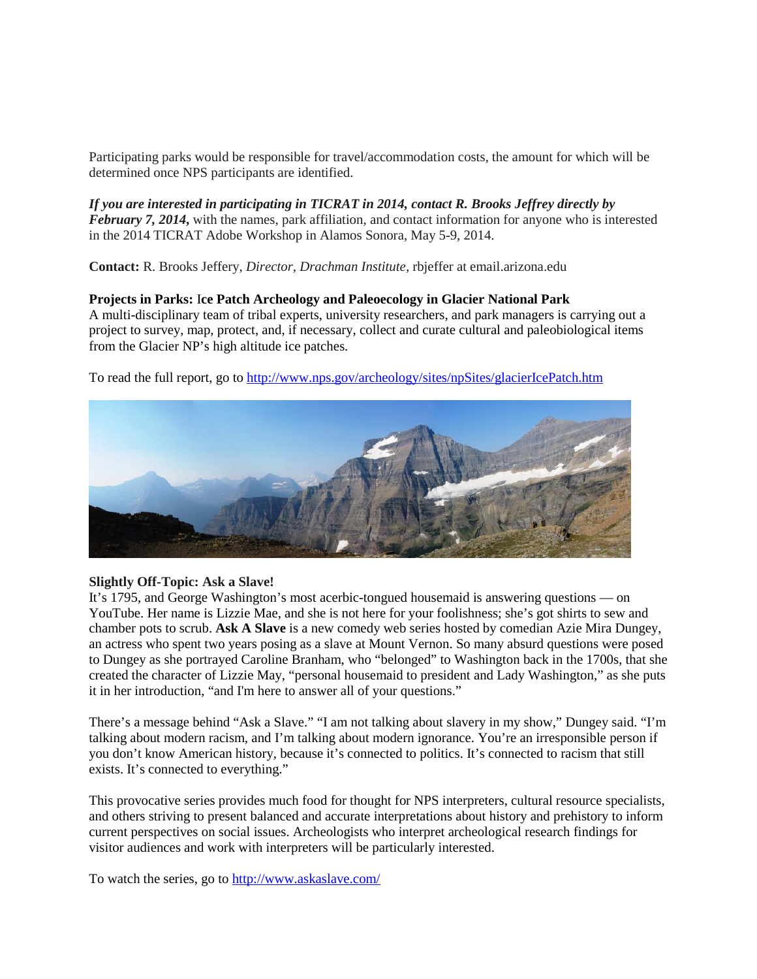Participating parks would be responsible for travel/accommodation costs, the amount for which will be determined once NPS participants are identified.

*If you are interested in participating in TICRAT in 2014, contact R. Brooks Jeffrey directly by February 7, 2014***,** with the names, park affiliation, and contact information for anyone who is interested in the 2014 TICRAT Adobe Workshop in Alamos Sonora, May 5-9, 2014.

**Contact:** R. Brooks Jeffery, *Director, Drachman Institute,* rbjeffer at email.arizona.edu

**Projects in Parks:** I**ce Patch Archeology and Paleoecology in Glacier National Park** A multi-disciplinary team of tribal experts, university researchers, and park managers is carrying out a project to survey, map, protect, and, if necessary, collect and curate cultural and paleobiological items from the Glacier NP's high altitude ice patches.

To read the full report, go to<http://www.nps.gov/archeology/sites/npSites/glacierIcePatch.htm>



# **Slightly Off-Topic: Ask a Slave!**

It's 1795, and George Washington's most acerbic-tongued housemaid is answering questions — on YouTube. Her name is Lizzie Mae, and she is not here for your foolishness; she's got shirts to sew and chamber pots to scrub. **Ask A Slave** is a new comedy web series hosted by comedian Azie Mira Dungey, an actress who spent two years posing as a slave at Mount Vernon. So many absurd questions were posed to Dungey as she portrayed Caroline Branham, who "belonged" to Washington back in the 1700s, that she created the character of Lizzie May, "personal housemaid to president and Lady Washington," as she puts it in her introduction, "and I'm here to answer all of your questions."

There's a message behind "Ask a Slave." "I am not talking about slavery in my show," Dungey said. "I'm talking about modern racism, and I'm talking about modern ignorance. You're an irresponsible person if you don't know American history, because it's connected to politics. It's connected to racism that still exists. It's connected to everything."

This provocative series provides much food for thought for NPS interpreters, cultural resource specialists, and others striving to present balanced and accurate interpretations about history and prehistory to inform current perspectives on social issues. Archeologists who interpret archeological research findings for visitor audiences and work with interpreters will be particularly interested.

To watch the series, go to<http://www.askaslave.com/>